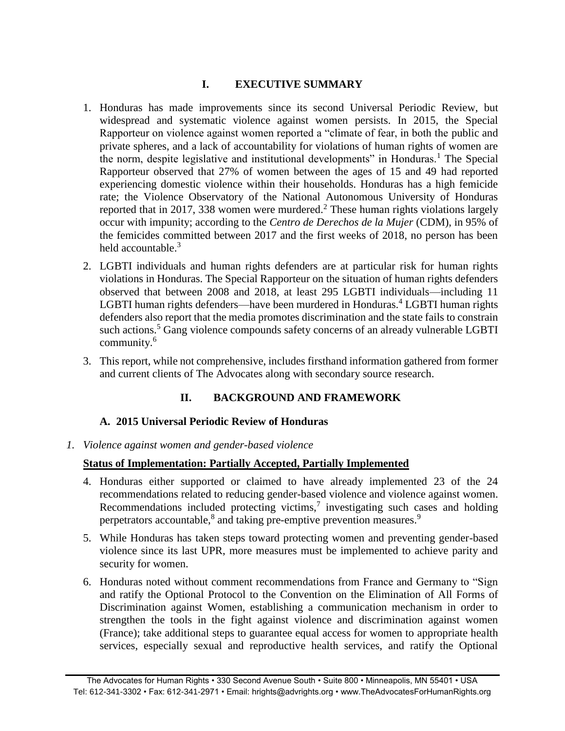# **I. EXECUTIVE SUMMARY**

- 1. Honduras has made improvements since its second Universal Periodic Review, but widespread and systematic violence against women persists. In 2015, the Special Rapporteur on violence against women reported a "climate of fear, in both the public and private spheres, and a lack of accountability for violations of human rights of women are the norm, despite legislative and institutional developments" in Honduras.<sup>1</sup> The Special Rapporteur observed that 27% of women between the ages of 15 and 49 had reported experiencing domestic violence within their households. Honduras has a high femicide rate; the Violence Observatory of the National Autonomous University of Honduras reported that in 2017, 338 women were murdered.<sup>2</sup> These human rights violations largely occur with impunity; according to the *Centro de Derechos de la Mujer* (CDM), in 95% of the femicides committed between 2017 and the first weeks of 2018, no person has been held accountable. $3$
- 2. LGBTI individuals and human rights defenders are at particular risk for human rights violations in Honduras. The Special Rapporteur on the situation of human rights defenders observed that between 2008 and 2018, at least 295 LGBTI individuals—including 11 LGBTI human rights defenders—have been murdered in Honduras.<sup>4</sup> LGBTI human rights defenders also report that the media promotes discrimination and the state fails to constrain such actions.<sup>5</sup> Gang violence compounds safety concerns of an already vulnerable LGBTI community.<sup>6</sup>
- 3. This report, while not comprehensive, includes firsthand information gathered from former and current clients of The Advocates along with secondary source research.

# **II. BACKGROUND AND FRAMEWORK**

# **A. 2015 Universal Periodic Review of Honduras**

*1. Violence against women and gender-based violence*

# **Status of Implementation: Partially Accepted, Partially Implemented**

- 4. Honduras either supported or claimed to have already implemented 23 of the 24 recommendations related to reducing gender-based violence and violence against women. Recommendations included protecting victims, $\frac{7}{1}$  investigating such cases and holding perpetrators accountable,<sup>8</sup> and taking pre-emptive prevention measures.<sup>9</sup>
- 5. While Honduras has taken steps toward protecting women and preventing gender-based violence since its last UPR, more measures must be implemented to achieve parity and security for women.
- 6. Honduras noted without comment recommendations from France and Germany to "Sign and ratify the Optional Protocol to the Convention on the Elimination of All Forms of Discrimination against Women, establishing a communication mechanism in order to strengthen the tools in the fight against violence and discrimination against women (France); take additional steps to guarantee equal access for women to appropriate health services, especially sexual and reproductive health services, and ratify the Optional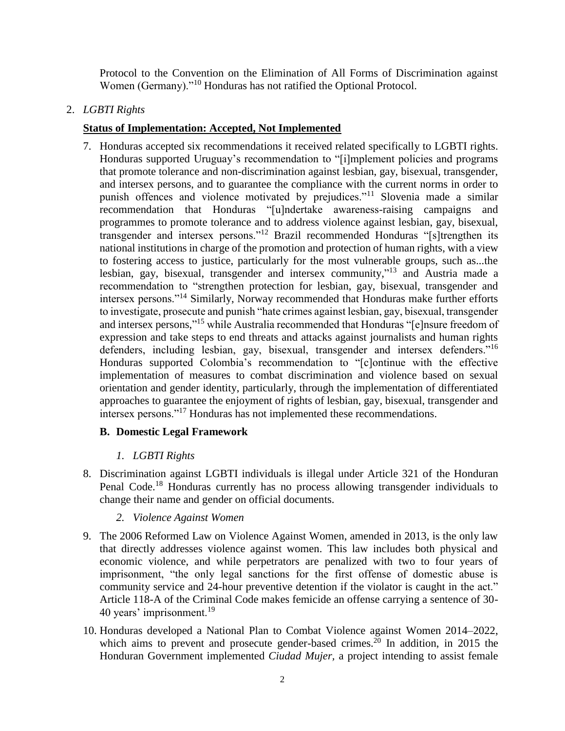Protocol to the Convention on the Elimination of All Forms of Discrimination against Women (Germany)."<sup>10</sup> Honduras has not ratified the Optional Protocol.

# 2. *LGBTI Rights*

### **Status of Implementation: Accepted, Not Implemented**

7. Honduras accepted six recommendations it received related specifically to LGBTI rights. Honduras supported Uruguay's recommendation to "[i]mplement policies and programs that promote tolerance and non-discrimination against lesbian, gay, bisexual, transgender, and intersex persons, and to guarantee the compliance with the current norms in order to punish offences and violence motivated by prejudices."<sup>11</sup> Slovenia made a similar recommendation that Honduras "[u]ndertake awareness-raising campaigns and programmes to promote tolerance and to address violence against lesbian, gay, bisexual, transgender and intersex persons."<sup>12</sup> Brazil recommended Honduras "[s]trengthen its national institutions in charge of the promotion and protection of human rights, with a view to fostering access to justice, particularly for the most vulnerable groups, such as...the lesbian, gay, bisexual, transgender and intersex community," <sup>13</sup> and Austria made a recommendation to "strengthen protection for lesbian, gay, bisexual, transgender and intersex persons."<sup>14</sup> Similarly, Norway recommended that Honduras make further efforts to investigate, prosecute and punish "hate crimes against lesbian, gay, bisexual, transgender and intersex persons,"<sup>15</sup> while Australia recommended that Honduras "[e]nsure freedom of expression and take steps to end threats and attacks against journalists and human rights defenders, including lesbian, gay, bisexual, transgender and intersex defenders."<sup>16</sup> Honduras supported Colombia's recommendation to "[c]ontinue with the effective implementation of measures to combat discrimination and violence based on sexual orientation and gender identity, particularly, through the implementation of differentiated approaches to guarantee the enjoyment of rights of lesbian, gay, bisexual, transgender and intersex persons."<sup>17</sup> Honduras has not implemented these recommendations.

# **B. Domestic Legal Framework**

# *1. LGBTI Rights*

8. Discrimination against LGBTI individuals is illegal under Article 321 of the Honduran Penal Code.<sup>18</sup> Honduras currently has no process allowing transgender individuals to change their name and gender on official documents.

# *2. Violence Against Women*

- 9. The 2006 Reformed Law on Violence Against Women, amended in 2013, is the only law that directly addresses violence against women. This law includes both physical and economic violence, and while perpetrators are penalized with two to four years of imprisonment, "the only legal sanctions for the first offense of domestic abuse is community service and 24-hour preventive detention if the violator is caught in the act." Article 118-A of the Criminal Code makes femicide an offense carrying a sentence of 30- 40 years' imprisonment.<sup>19</sup>
- 10. Honduras developed a National Plan to Combat Violence against Women 2014–2022, which aims to prevent and prosecute gender-based crimes.<sup>20</sup> In addition, in 2015 the Honduran Government implemented *Ciudad Mujer,* a project intending to assist female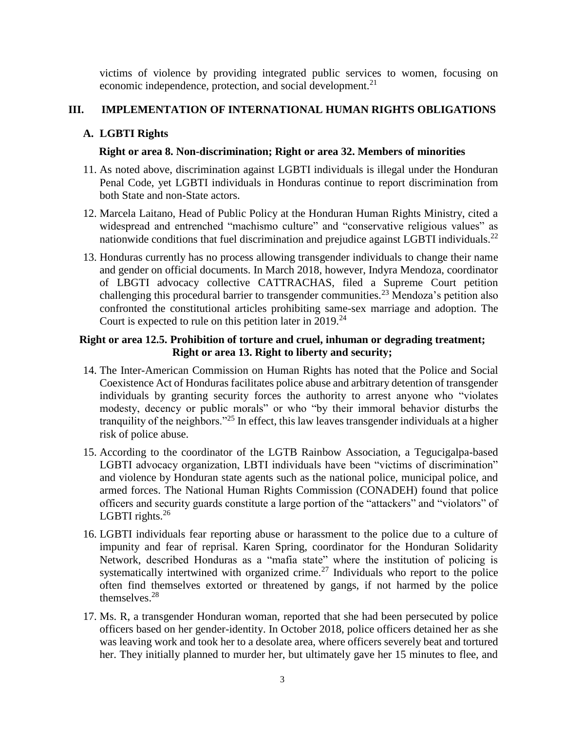victims of violence by providing integrated public services to women, focusing on economic independence, protection, and social development.<sup>21</sup>

# **III. IMPLEMENTATION OF INTERNATIONAL HUMAN RIGHTS OBLIGATIONS**

### **A. LGBTI Rights**

#### **Right or area 8. Non-discrimination; Right or area 32. Members of minorities**

- 11. As noted above, discrimination against LGBTI individuals is illegal under the Honduran Penal Code, yet LGBTI individuals in Honduras continue to report discrimination from both State and non-State actors.
- 12. Marcela Laitano, Head of Public Policy at the Honduran Human Rights Ministry, cited a widespread and entrenched "machismo culture" and "conservative religious values" as nationwide conditions that fuel discrimination and prejudice against LGBTI individuals.<sup>22</sup>
- <span id="page-2-0"></span>13. Honduras currently has no process allowing transgender individuals to change their name and gender on official documents. In March 2018, however, Indyra Mendoza, coordinator of LBGTI advocacy collective CATTRACHAS, filed a Supreme Court petition challenging this procedural barrier to transgender communities.<sup>23</sup> Mendoza's petition also confronted the constitutional articles prohibiting same-sex marriage and adoption. The Court is expected to rule on this petition later in  $2019.^{24}$

#### **Right or area 12.5. Prohibition of torture and cruel, inhuman or degrading treatment; Right or area 13. Right to liberty and security;**

- 14. The Inter-American Commission on Human Rights has noted that the Police and Social Coexistence Act of Honduras facilitates police abuse and arbitrary detention of transgender individuals by granting security forces the authority to arrest anyone who "violates modesty, decency or public morals" or who "by their immoral behavior disturbs the tranquility of the neighbors."<sup>25</sup> In effect, this law leaves transgender individuals at a higher risk of police abuse.
- 15. According to the coordinator of the LGTB Rainbow Association, a Tegucigalpa-based LGBTI advocacy organization, LBTI individuals have been "victims of discrimination" and violence by Honduran state agents such as the national police, municipal police, and armed forces. The National Human Rights Commission (CONADEH) found that police officers and security guards constitute a large portion of the "attackers" and "violators" of LGBTI rights. $26$
- 16. LGBTI individuals fear reporting abuse or harassment to the police due to a culture of impunity and fear of reprisal. Karen Spring, coordinator for the Honduran Solidarity Network, described Honduras as a "mafia state" where the institution of policing is systematically intertwined with organized crime.<sup>27</sup> Individuals who report to the police often find themselves extorted or threatened by gangs, if not harmed by the police themselves.<sup>28</sup>
- 17. Ms. R, a transgender Honduran woman, reported that she had been persecuted by police officers based on her gender-identity. In October 2018, police officers detained her as she was leaving work and took her to a desolate area, where officers severely beat and tortured her. They initially planned to murder her, but ultimately gave her 15 minutes to flee, and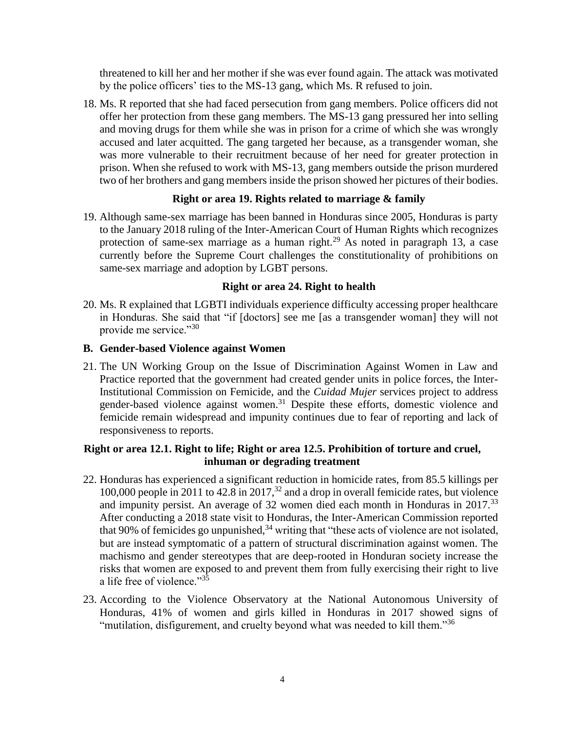threatened to kill her and her mother if she was ever found again. The attack was motivated by the police officers' ties to the MS-13 gang, which Ms. R refused to join.

18. Ms. R reported that she had faced persecution from gang members. Police officers did not offer her protection from these gang members. The MS-13 gang pressured her into selling and moving drugs for them while she was in prison for a crime of which she was wrongly accused and later acquitted. The gang targeted her because, as a transgender woman, she was more vulnerable to their recruitment because of her need for greater protection in prison. When she refused to work with MS-13, gang members outside the prison murdered two of her brothers and gang members inside the prison showed her pictures of their bodies.

#### **Right or area 19. Rights related to marriage & family**

19. Although same-sex marriage has been banned in Honduras since 2005, Honduras is party to the January 2018 ruling of the Inter-American Court of Human Rights which recognizes protection of same-sex marriage as a human right.<sup>29</sup> As noted in paragraph [13,](#page-2-0) a case currently before the Supreme Court challenges the constitutionality of prohibitions on same-sex marriage and adoption by LGBT persons.

#### **Right or area 24. Right to health**

20. Ms. R explained that LGBTI individuals experience difficulty accessing proper healthcare in Honduras. She said that "if [doctors] see me [as a transgender woman] they will not provide me service."<sup>30</sup>

#### **B. Gender-based Violence against Women**

21. The UN Working Group on the Issue of Discrimination Against Women in Law and Practice reported that the government had created gender units in police forces, the Inter-Institutional Commission on Femicide, and the *Cuidad Mujer* services project to address gender-based violence against women. <sup>31</sup> Despite these efforts, domestic violence and femicide remain widespread and impunity continues due to fear of reporting and lack of responsiveness to reports.

#### **Right or area 12.1. Right to life; Right or area 12.5. Prohibition of torture and cruel, inhuman or degrading treatment**

- 22. Honduras has experienced a significant reduction in homicide rates, from 85.5 killings per 100,000 people in 2011 to 42.8 in 2017,  $32$  and a drop in overall femicide rates, but violence and impunity persist. An average of 32 women died each month in Honduras in 2017.<sup>33</sup> After conducting a 2018 state visit to Honduras, the Inter-American Commission reported that 90% of femicides go unpunished, $34$  writing that "these acts of violence are not isolated, but are instead symptomatic of a pattern of structural discrimination against women. The machismo and gender stereotypes that are deep-rooted in Honduran society increase the risks that women are exposed to and prevent them from fully exercising their right to live a life free of violence."<sup>35</sup>
- 23. According to the Violence Observatory at the National Autonomous University of Honduras, 41% of women and girls killed in Honduras in 2017 showed signs of "mutilation, disfigurement, and cruelty beyond what was needed to kill them."<sup>36</sup>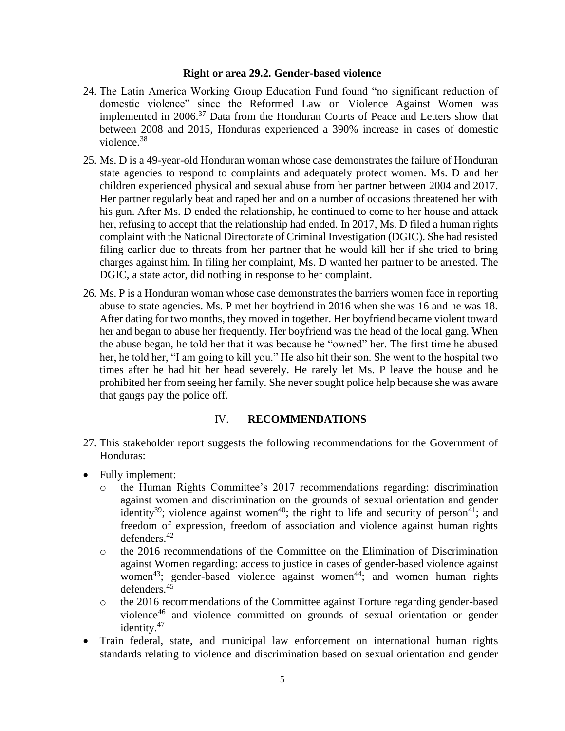#### **Right or area 29.2. Gender-based violence**

- 24. The Latin America Working Group Education Fund found "no significant reduction of domestic violence" since the Reformed Law on Violence Against Women was implemented in 2006.<sup>37</sup> Data from the Honduran Courts of Peace and Letters show that between 2008 and 2015, Honduras experienced a 390% increase in cases of domestic violence.<sup>38</sup>
- 25. Ms. D is a 49-year-old Honduran woman whose case demonstrates the failure of Honduran state agencies to respond to complaints and adequately protect women. Ms. D and her children experienced physical and sexual abuse from her partner between 2004 and 2017. Her partner regularly beat and raped her and on a number of occasions threatened her with his gun. After Ms. D ended the relationship, he continued to come to her house and attack her, refusing to accept that the relationship had ended. In 2017, Ms. D filed a human rights complaint with the National Directorate of Criminal Investigation (DGIC). She had resisted filing earlier due to threats from her partner that he would kill her if she tried to bring charges against him. In filing her complaint, Ms. D wanted her partner to be arrested. The DGIC, a state actor, did nothing in response to her complaint.
- 26. Ms. P is a Honduran woman whose case demonstrates the barriers women face in reporting abuse to state agencies. Ms. P met her boyfriend in 2016 when she was 16 and he was 18. After dating for two months, they moved in together. Her boyfriend became violent toward her and began to abuse her frequently. Her boyfriend was the head of the local gang. When the abuse began, he told her that it was because he "owned" her. The first time he abused her, he told her, "I am going to kill you." He also hit their son. She went to the hospital two times after he had hit her head severely. He rarely let Ms. P leave the house and he prohibited her from seeing her family. She never sought police help because she was aware that gangs pay the police off.

#### IV. **RECOMMENDATIONS**

- 27. This stakeholder report suggests the following recommendations for the Government of Honduras:
- Fully implement:
	- o the Human Rights Committee's 2017 recommendations regarding: discrimination against women and discrimination on the grounds of sexual orientation and gender identity<sup>39</sup>; violence against women<sup>40</sup>; the right to life and security of person<sup>41</sup>; and freedom of expression, freedom of association and violence against human rights defenders.<sup>42</sup>
	- o the 2016 recommendations of the Committee on the Elimination of Discrimination against Women regarding: access to justice in cases of gender-based violence against women<sup>43</sup>; gender-based violence against women<sup>44</sup>; and women human rights defenders. 45
	- o the 2016 recommendations of the Committee against Torture regarding gender-based violence<sup>46</sup> and violence committed on grounds of sexual orientation or gender identity.<sup>47</sup>
- Train federal, state, and municipal law enforcement on international human rights standards relating to violence and discrimination based on sexual orientation and gender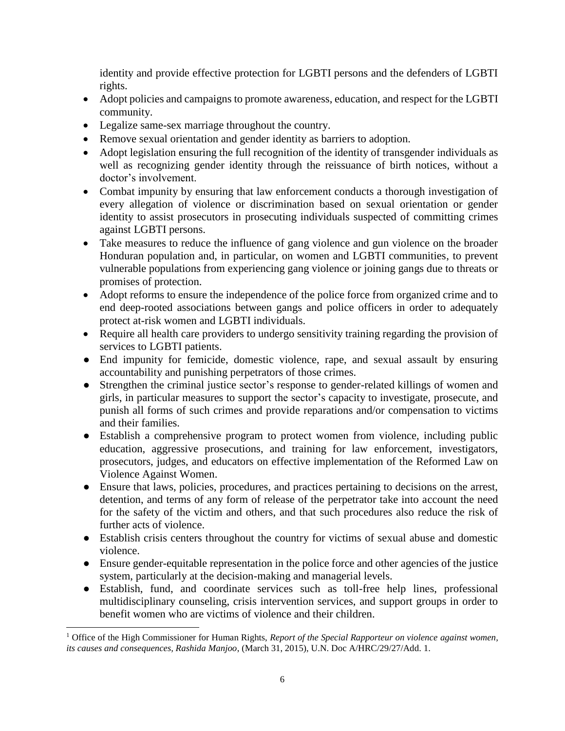identity and provide effective protection for LGBTI persons and the defenders of LGBTI rights.

- Adopt policies and campaigns to promote awareness, education, and respect for the LGBTI community.
- Legalize same-sex marriage throughout the country.
- Remove sexual orientation and gender identity as barriers to adoption.
- Adopt legislation ensuring the full recognition of the identity of transgender individuals as well as recognizing gender identity through the reissuance of birth notices, without a doctor's involvement.
- Combat impunity by ensuring that law enforcement conducts a thorough investigation of every allegation of violence or discrimination based on sexual orientation or gender identity to assist prosecutors in prosecuting individuals suspected of committing crimes against LGBTI persons.
- Take measures to reduce the influence of gang violence and gun violence on the broader Honduran population and, in particular, on women and LGBTI communities, to prevent vulnerable populations from experiencing gang violence or joining gangs due to threats or promises of protection.
- Adopt reforms to ensure the independence of the police force from organized crime and to end deep-rooted associations between gangs and police officers in order to adequately protect at-risk women and LGBTI individuals.
- Require all health care providers to undergo sensitivity training regarding the provision of services to LGBTI patients.
- End impunity for femicide, domestic violence, rape, and sexual assault by ensuring accountability and punishing perpetrators of those crimes.
- Strengthen the criminal justice sector's response to gender-related killings of women and girls, in particular measures to support the sector's capacity to investigate, prosecute, and punish all forms of such crimes and provide reparations and/or compensation to victims and their families.
- Establish a comprehensive program to protect women from violence, including public education, aggressive prosecutions, and training for law enforcement, investigators, prosecutors, judges, and educators on effective implementation of the Reformed Law on Violence Against Women.
- Ensure that laws, policies, procedures, and practices pertaining to decisions on the arrest, detention, and terms of any form of release of the perpetrator take into account the need for the safety of the victim and others, and that such procedures also reduce the risk of further acts of violence.
- Establish crisis centers throughout the country for victims of sexual abuse and domestic violence.
- Ensure gender-equitable representation in the police force and other agencies of the justice system, particularly at the decision-making and managerial levels.
- Establish, fund, and coordinate services such as toll-free help lines, professional multidisciplinary counseling, crisis intervention services, and support groups in order to benefit women who are victims of violence and their children.

<sup>1</sup> Office of the High Commissioner for Human Rights, *Report of the Special Rapporteur on violence against women, its causes and consequences, Rashida Manjoo*, (March 31, 2015), U.N. Doc A/HRC/29/27/Add. 1.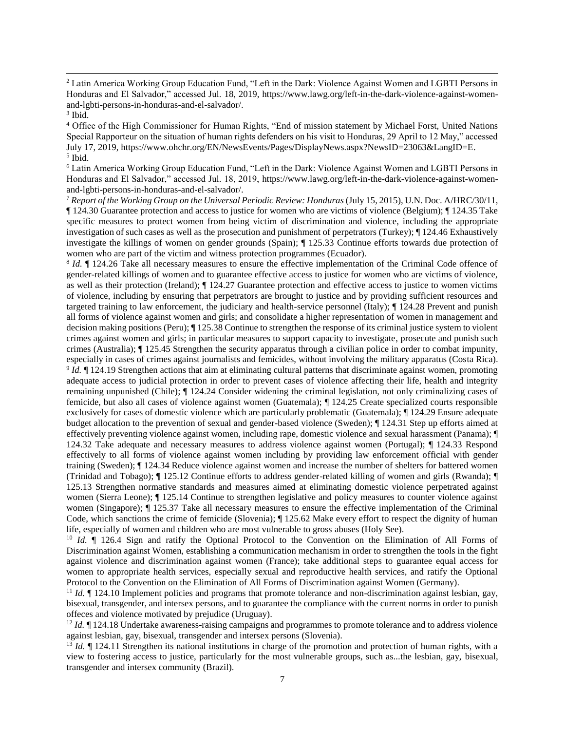<sup>2</sup> Latin America Working Group Education Fund, "Left in the Dark: Violence Against Women and LGBTI Persons in Honduras and El Salvador," accessed Jul. 18, 2019, [https://www.lawg.org/left-in-the-dark-violence-against-women](https://www.lawg.org/left-in-the-dark-violence-against-women-and-lgbti-persons-in-honduras-and-el-salvador/)[and-lgbti-persons-in-honduras-and-el-salvador/.](https://www.lawg.org/left-in-the-dark-violence-against-women-and-lgbti-persons-in-honduras-and-el-salvador/)

<sup>4</sup> Office of the High Commissioner for Human Rights, "End of mission statement by Michael Forst, United Nations Special Rapporteur on the situation of human rights defenders on his visit to Honduras, 29 April to 12 May," accessed July 17, 2019, https://www.ohchr.org/EN/NewsEvents/Pages/DisplayNews.aspx?NewsID=23063&LangID=E. 5 Ibid.

<sup>6</sup> Latin America Working Group Education Fund, "Left in the Dark: Violence Against Women and LGBTI Persons in Honduras and El Salvador," accessed Jul. 18, 2019, [https://www.lawg.org/left-in-the-dark-violence-against-women](https://www.lawg.org/left-in-the-dark-violence-against-women-and-lgbti-persons-in-honduras-and-el-salvador/)[and-lgbti-persons-in-honduras-and-el-salvador/.](https://www.lawg.org/left-in-the-dark-violence-against-women-and-lgbti-persons-in-honduras-and-el-salvador/)

<sup>7</sup> *Report of the Working Group on the Universal Periodic Review: Honduras* (July 15, 2015), U.N. Doc. A/HRC/30/11, ¶ 124.30 Guarantee protection and access to justice for women who are victims of violence (Belgium); ¶ 124.35 Take specific measures to protect women from being victim of discrimination and violence, including the appropriate investigation of such cases as well as the prosecution and punishment of perpetrators (Turkey); ¶ 124.46 Exhaustively investigate the killings of women on gender grounds (Spain); ¶ 125.33 Continue efforts towards due protection of women who are part of the victim and witness protection programmes (Ecuador).

8 *Id.* ¶ 124.26 Take all necessary measures to ensure the effective implementation of the Criminal Code offence of gender-related killings of women and to guarantee effective access to justice for women who are victims of violence, as well as their protection (Ireland); ¶ 124.27 Guarantee protection and effective access to justice to women victims of violence, including by ensuring that perpetrators are brought to justice and by providing sufficient resources and targeted training to law enforcement, the judiciary and health-service personnel (Italy); ¶ 124.28 Prevent and punish all forms of violence against women and girls; and consolidate a higher representation of women in management and decision making positions (Peru); ¶ 125.38 Continue to strengthen the response of its criminal justice system to violent crimes against women and girls; in particular measures to support capacity to investigate, prosecute and punish such crimes (Australia); ¶ 125.45 Strengthen the security apparatus through a civilian police in order to combat impunity, especially in cases of crimes against journalists and femicides, without involving the military apparatus (Costa Rica). <sup>9</sup> *Id.*  $\P$  124.19 Strengthen actions that aim at eliminating cultural patterns that discriminate against women, promoting adequate access to judicial protection in order to prevent cases of violence affecting their life, health and integrity remaining unpunished (Chile); ¶ 124.24 Consider widening the criminal legislation, not only criminalizing cases of femicide, but also all cases of violence against women (Guatemala); ¶ 124.25 Create specialized courts responsible exclusively for cases of domestic violence which are particularly problematic (Guatemala); ¶ 124.29 Ensure adequate budget allocation to the prevention of sexual and gender-based violence (Sweden); ¶ 124.31 Step up efforts aimed at effectively preventing violence against women, including rape, domestic violence and sexual harassment (Panama); ¶ 124.32 Take adequate and necessary measures to address violence against women (Portugal); ¶ 124.33 Respond effectively to all forms of violence against women including by providing law enforcement official with gender training (Sweden); ¶ 124.34 Reduce violence against women and increase the number of shelters for battered women (Trinidad and Tobago); ¶ 125.12 Continue efforts to address gender-related killing of women and girls (Rwanda); ¶ 125.13 Strengthen normative standards and measures aimed at eliminating domestic violence perpetrated against women (Sierra Leone); ¶ 125.14 Continue to strengthen legislative and policy measures to counter violence against women (Singapore); ¶ 125.37 Take all necessary measures to ensure the effective implementation of the Criminal Code, which sanctions the crime of femicide (Slovenia); ¶ 125.62 Make every effort to respect the dignity of human life, especially of women and children who are most vulnerable to gross abuses (Holy See).

<sup>10</sup> *Id.*  $\parallel$  126.4 Sign and ratify the Optional Protocol to the Convention on the Elimination of All Forms of Discrimination against Women, establishing a communication mechanism in order to strengthen the tools in the fight against violence and discrimination against women (France); take additional steps to guarantee equal access for women to appropriate health services, especially sexual and reproductive health services, and ratify the Optional Protocol to the Convention on the Elimination of All Forms of Discrimination against Women (Germany).

<sup>11</sup> *Id.* ¶ 124.10 Implement policies and programs that promote tolerance and non-discrimination against lesbian, gay, bisexual, transgender, and intersex persons, and to guarantee the compliance with the current norms in order to punish offeces and violence motivated by prejudice (Uruguay).

<sup>12</sup> *Id.*  $\P$  124.18 Undertake awareness-raising campaigns and programmes to promote tolerance and to address violence against lesbian, gay, bisexual, transgender and intersex persons (Slovenia).

<sup>13</sup> *Id.*  $\blacksquare$  124.11 Strengthen its national institutions in charge of the promotion and protection of human rights, with a view to fostering access to justice, particularly for the most vulnerable groups, such as...the lesbian, gay, bisexual, transgender and intersex community (Brazil).

<sup>3</sup> Ibid.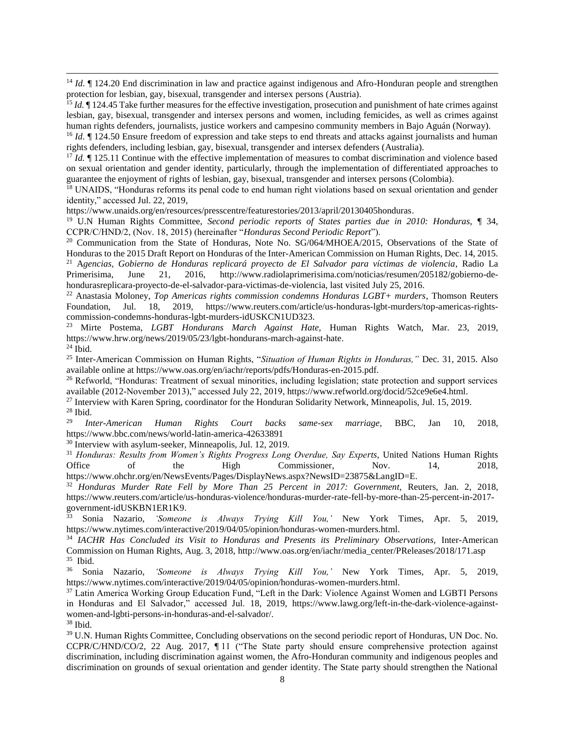<sup>14</sup> *Id.*  $\P$  124.20 End discrimination in law and practice against indigenous and Afro-Honduran people and strengthen protection for lesbian, gay, bisexual, transgender and intersex persons (Austria).

<sup>15</sup> *Id.* If 124.45 Take further measures for the effective investigation, prosecution and punishment of hate crimes against lesbian, gay, bisexual, transgender and intersex persons and women, including femicides, as well as crimes against human rights defenders, journalists, justice workers and campesino community members in Bajo Aguán (Norway).

<sup>16</sup> *Id.*  $\blacksquare$  124.50 Ensure freedom of expression and take steps to end threats and attacks against journalists and human rights defenders, including lesbian, gay, bisexual, transgender and intersex defenders (Australia).

<sup>17</sup> *Id.*  $\P$  125.11 Continue with the effective implementation of measures to combat discrimination and violence based on sexual orientation and gender identity, particularly, through the implementation of differentiated approaches to guarantee the enjoyment of rights of lesbian, gay, bisexual, transgender and intersex persons (Colombia).

<sup>18</sup> UNAIDS, "Honduras reforms its penal code to end human right violations based on sexual orientation and gender identity," accessed Jul. 22, 2019,

[https://www.unaids.org/en/resources/presscentre/featurestories/2013/april/20130405honduras.](https://www.unaids.org/en/resources/presscentre/featurestories/2013/april/20130405honduras)

<sup>19</sup> U.N Human Rights Committee, *Second periodic reports of States parties due in 2010: Honduras,* ¶ 34, CCPR/C/HND/2, (Nov. 18, 2015) (hereinafter "*Honduras Second Periodic Report*").

<sup>20</sup> Communication from the State of Honduras, Note No. SG/064/MHOEA/2015, Observations of the State of Honduras to the 2015 Draft Report on Honduras of the Inter-American Commission on Human Rights, Dec. 14, 2015. <sup>21</sup> A*gencias, Gobierno de Honduras replicará proyecto de El Salvador para víctimas de violencia*, Radio La Primerisima, June 21, 2016, http://www.radiolaprimerisima.com/noticias/resumen/205182/gobierno-dehondurasreplicara-proyecto-de-el-salvador-para-victimas-de-violencia, last visited July 25, 2016.

<sup>22</sup> Anastasia Moloney, *Top Americas rights commission condemns Honduras LGBT+ murders*, Thomson Reuters Foundation, Jul. 18, 2019, [https://www.reuters.com/article/us-honduras-lgbt-murders/top-americas-rights](https://www.reuters.com/article/us-honduras-lgbt-murders/top-americas-rights-commission-condemns-honduras-lgbt-murders-idUSKCN1UD323)[commission-condemns-honduras-lgbt-murders-idUSKCN1UD323.](https://www.reuters.com/article/us-honduras-lgbt-murders/top-americas-rights-commission-condemns-honduras-lgbt-murders-idUSKCN1UD323)

<sup>23</sup> Mirte Postema, *LGBT Hondurans March Against Hate,* Human Rights Watch, Mar. 23, 2019, [https://www.hrw.org/news/2019/05/23/lgbt-hondurans-march-against-hate.](https://www.hrw.org/news/2019/05/23/lgbt-hondurans-march-against-hate) 

 $^{24}$  Ibid.

<sup>25</sup> Inter-American Commission on Human Rights, "*Situation of Human Rights in Honduras,"* Dec. 31, 2015. Also available online at [https://www.oas.org/en/iachr/reports/pdfs/Honduras-en-2015.pdf.](https://www.oas.org/en/iachr/reports/pdfs/Honduras-en-2015.pdf)

<sup>26</sup> Refworld, "Honduras: Treatment of sexual minorities, including legislation; state protection and support services available (2012-November 2013)," accessed July 22, 2019, [https://www.refworld.org/docid/52ce9e6e4.html.](https://www.refworld.org/docid/52ce9e6e4.html)

<sup>27</sup> Interview with Karen Spring, coordinator for the Honduran Solidarity Network, Minneapolis, Jul. 15, 2019.

 $rac{28}{29}$  Ibid. <sup>29</sup> *Inter-American Human Rights Court backs same-sex marriage*, BBC, Jan 10, 2018, <https://www.bbc.com/news/world-latin-america-42633891>

<sup>30</sup> Interview with asylum-seeker, Minneapolis, Jul. 12, 2019.

<sup>31</sup> *Honduras: Results from Women's Rights Progress Long Overdue, Say Experts,* United Nations Human Rights Office of the High Commissioner, Nov. 14, 2018, [https://www.ohchr.org/en/NewsEvents/Pages/DisplayNews.aspx?NewsID=23875&LangID=E.](https://www.ohchr.org/en/NewsEvents/Pages/DisplayNews.aspx?NewsID=23875&LangID=E)

<sup>32</sup> Honduras Murder Rate Fell by More Than 25 Percent in 2017: Government, Reuters, Jan. 2, 2018, [https://www.reuters.com/article/us-honduras-violence/honduras-murder-rate-fell-by-more-than-25-percent-in-2017](https://www.reuters.com/article/us-honduras-violence/honduras-murder-rate-fell-by-more-than-25-percent-in-2017-government-idUSKBN1ER1K9) [government-idUSKBN1ER1K9.](https://www.reuters.com/article/us-honduras-violence/honduras-murder-rate-fell-by-more-than-25-percent-in-2017-government-idUSKBN1ER1K9)

<sup>33</sup> Sonia Nazario, *'Someone is Always Trying Kill You,'* New York Times, Apr. 5, 2019, [https://www.nytimes.com/interactive/2019/04/05/opinion/honduras-women-murders.html.](https://www.nytimes.com/interactive/2019/04/05/opinion/honduras-women-murders.html)

<sup>34</sup> *IACHR Has Concluded its Visit to Honduras and Presents its Preliminary Observations,* Inter-American Commission on Human Rights, Aug. 3, 2018, [http://www.oas.org/en/iachr/media\\_center/PReleases/2018/171.asp](http://www.oas.org/en/iachr/media_center/PReleases/2018/171.asp) <sup>35</sup> Ibid.

<sup>36</sup> Sonia Nazario, *'Someone is Always Trying Kill You,'* New York Times, Apr. 5, 2019, [https://www.nytimes.com/interactive/2019/04/05/opinion/honduras-women-murders.html.](https://www.nytimes.com/interactive/2019/04/05/opinion/honduras-women-murders.html)

<sup>37</sup> Latin America Working Group Education Fund, "Left in the Dark: Violence Against Women and LGBTI Persons in Honduras and El Salvador," accessed Jul. 18, 2019, [https://www.lawg.org/left-in-the-dark-violence-against](https://www.lawg.org/left-in-the-dark-violence-against-women-and-lgbti-persons-in-honduras-and-el-salvador/)[women-and-lgbti-persons-in-honduras-and-el-salvador/.](https://www.lawg.org/left-in-the-dark-violence-against-women-and-lgbti-persons-in-honduras-and-el-salvador/)

<sup>38</sup> Ibid.

<sup>39</sup> U.N. Human Rights Committee, Concluding observations on the second periodic report of Honduras, UN Doc. No. CCPR/C/HND/CO/2, 22 Aug. 2017, ¶ 11 ("The State party should ensure comprehensive protection against discrimination, including discrimination against women, the Afro-Honduran community and indigenous peoples and discrimination on grounds of sexual orientation and gender identity. The State party should strengthen the National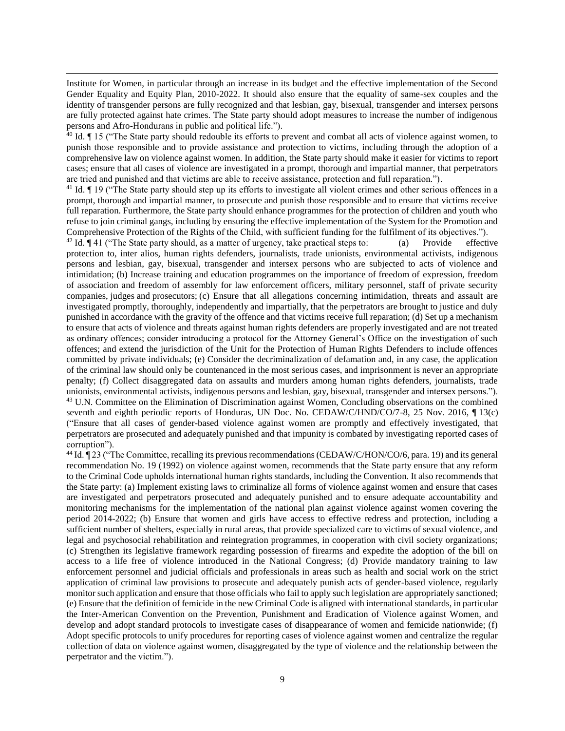Institute for Women, in particular through an increase in its budget and the effective implementation of the Second Gender Equality and Equity Plan, 2010-2022. It should also ensure that the equality of same-sex couples and the identity of transgender persons are fully recognized and that lesbian, gay, bisexual, transgender and intersex persons are fully protected against hate crimes. The State party should adopt measures to increase the number of indigenous persons and Afro-Hondurans in public and political life.").

 $\frac{40}{10}$  Id.  $\P$  15 ("The State party should redouble its efforts to prevent and combat all acts of violence against women, to punish those responsible and to provide assistance and protection to victims, including through the adoption of a comprehensive law on violence against women. In addition, the State party should make it easier for victims to report cases; ensure that all cases of violence are investigated in a prompt, thorough and impartial manner, that perpetrators are tried and punished and that victims are able to receive assistance, protection and full reparation.").

 $41$  Id.  $\P$  19 ("The State party should step up its efforts to investigate all violent crimes and other serious offences in a prompt, thorough and impartial manner, to prosecute and punish those responsible and to ensure that victims receive full reparation. Furthermore, the State party should enhance programmes for the protection of children and youth who refuse to join criminal gangs, including by ensuring the effective implementation of the System for the Promotion and Comprehensive Protection of the Rights of the Child, with sufficient funding for the fulfilment of its objectives.").

<sup>42</sup> Id.  $\P$  41 ("The State party should, as a matter of urgency, take practical steps to: (a) Provide effective protection to, inter alios, human rights defenders, journalists, trade unionists, environmental activists, indigenous persons and lesbian, gay, bisexual, transgender and intersex persons who are subjected to acts of violence and intimidation; (b) Increase training and education programmes on the importance of freedom of expression, freedom of association and freedom of assembly for law enforcement officers, military personnel, staff of private security companies, judges and prosecutors; (c) Ensure that all allegations concerning intimidation, threats and assault are investigated promptly, thoroughly, independently and impartially, that the perpetrators are brought to justice and duly punished in accordance with the gravity of the offence and that victims receive full reparation; (d) Set up a mechanism to ensure that acts of violence and threats against human rights defenders are properly investigated and are not treated as ordinary offences; consider introducing a protocol for the Attorney General's Office on the investigation of such offences; and extend the jurisdiction of the Unit for the Protection of Human Rights Defenders to include offences committed by private individuals; (e) Consider the decriminalization of defamation and, in any case, the application of the criminal law should only be countenanced in the most serious cases, and imprisonment is never an appropriate penalty; (f) Collect disaggregated data on assaults and murders among human rights defenders, journalists, trade unionists, environmental activists, indigenous persons and lesbian, gay, bisexual, transgender and intersex persons."). <sup>43</sup> U.N. Committee on the Elimination of Discrimination against Women, Concluding observations on the combined seventh and eighth periodic reports of Honduras, UN Doc. No. CEDAW/C/HND/CO/7-8, 25 Nov. 2016, ¶ 13(c) ("Ensure that all cases of gender-based violence against women are promptly and effectively investigated, that perpetrators are prosecuted and adequately punished and that impunity is combated by investigating reported cases of corruption").

<sup>44</sup> Id. ¶ 23 ("The Committee, recalling its previous recommendations (CEDAW/C/HON/CO/6, para. 19) and its general recommendation No. 19 (1992) on violence against women, recommends that the State party ensure that any reform to the Criminal Code upholds international human rights standards, including the Convention. It also recommends that the State party: (a) Implement existing laws to criminalize all forms of violence against women and ensure that cases are investigated and perpetrators prosecuted and adequately punished and to ensure adequate accountability and monitoring mechanisms for the implementation of the national plan against violence against women covering the period 2014-2022; (b) Ensure that women and girls have access to effective redress and protection, including a sufficient number of shelters, especially in rural areas, that provide specialized care to victims of sexual violence, and legal and psychosocial rehabilitation and reintegration programmes, in cooperation with civil society organizations; (c) Strengthen its legislative framework regarding possession of firearms and expedite the adoption of the bill on access to a life free of violence introduced in the National Congress; (d) Provide mandatory training to law enforcement personnel and judicial officials and professionals in areas such as health and social work on the strict application of criminal law provisions to prosecute and adequately punish acts of gender-based violence, regularly monitor such application and ensure that those officials who fail to apply such legislation are appropriately sanctioned; (e) Ensure that the definition of femicide in the new Criminal Code is aligned with international standards, in particular the Inter-American Convention on the Prevention, Punishment and Eradication of Violence against Women, and develop and adopt standard protocols to investigate cases of disappearance of women and femicide nationwide; (f) Adopt specific protocols to unify procedures for reporting cases of violence against women and centralize the regular collection of data on violence against women, disaggregated by the type of violence and the relationship between the perpetrator and the victim.").